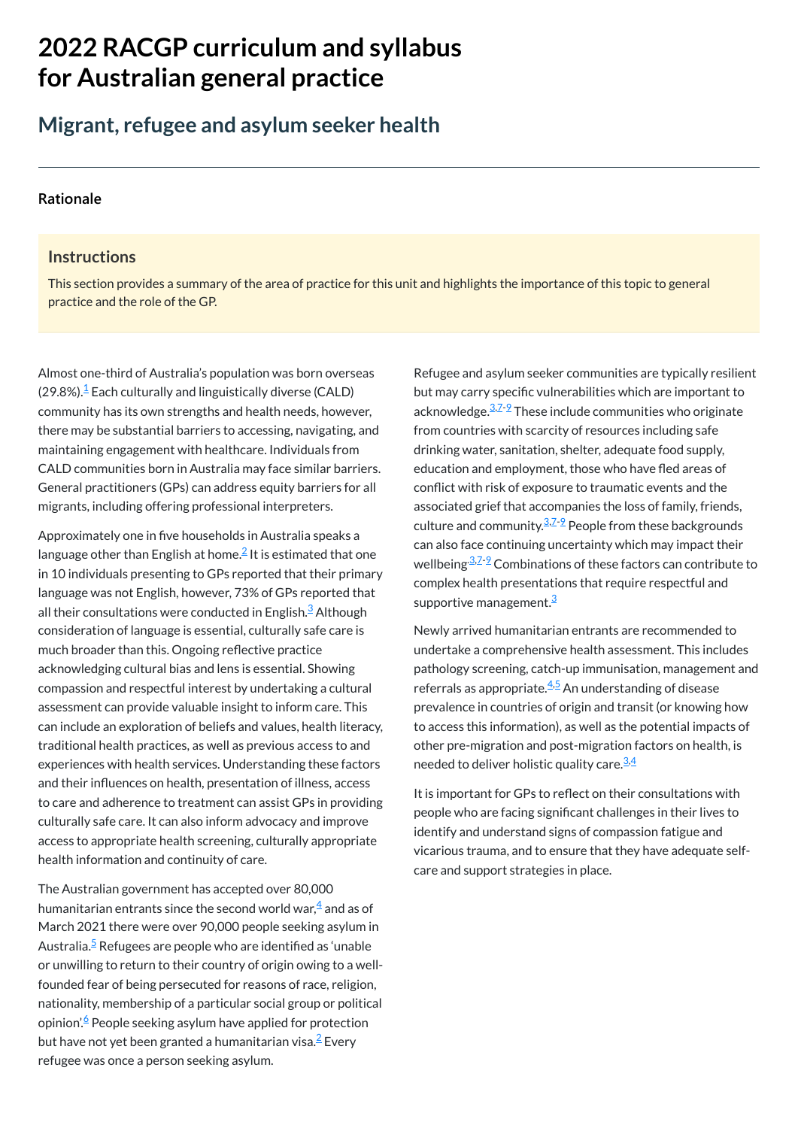# **2022 RACGP curriculum and syllabus for Australian [general practice](https://www.racgp.org.au/Curriculum-and-Syllabus/home)**

# **Migrant, refugee and asylum seeker health**

#### **[Rationale](javascript:void(0))**

#### **Instructions**

This section provides a summary of the area of practice for this unit and highlights the importance of this topic to general practice and the role of the GP.

Almost one-third of Australia's population was born overseas  $(29.8\%)$ <sup>[1](#page-1-0)</sup> Each culturally and linguistically diverse (CALD) community has its own strengths and health needs, however, there may be substantial barriers to accessing, navigating, and maintaining engagement with healthcare. Individuals from CALD communities born in Australia may face similar barriers. General practitioners (GPs) can address equity barriers for all migrants, including offering professional interpreters.

Refugee and asylum seeker communities are typically resilient but may carry specific vulnerabilities which are important to acknowledge.<sup>[3,](#page-1-2)[7](#page-1-6)-2</sup> These include communities who originate from countries with scarcity of resources including safe drinking water, sanitation, shelter, adequate food supply, education and employment, those who have fled areas of conflict with risk of exposure to traumatic events and the associated grief that accompanies the loss of family, friends, culture and community. $^{3.7-9}$  $^{3.7-9}$  $^{3.7-9}$  $^{3.7-9}$  $^{3.7-9}$  People from these backgrounds can also face continuing uncertainty which may impact their wellbeing<sup>.[3,](#page-1-2)Z-2</sup> Combinations of these factors can contribute to complex health presentations that require respectful and supportive management.<sup>[3](#page-1-2)</sup>

Approximately one in five households in Australia speaks a language other than English at home. $\stackrel{\text{2}}{=}$  $\stackrel{\text{2}}{=}$  $\stackrel{\text{2}}{=}$  It is estimated that one in 10 individuals presenting to GPs reported that their primary language was not English, however, 73% of GPs reported that all their consultations were conducted in English.<sup>[3](#page-1-2)</sup> Although consideration of language is essential, culturally safe care is much broader than this. Ongoing reflective practice acknowledging cultural bias and lens is essential. Showing compassion and respectful interest by undertaking a cultural assessment can provide valuable insight to inform care. This can include an exploration of beliefs and values, health literacy, traditional health practices, as well as previous access to and experiences with health services. Understanding these factors and their influences on health, presentation of illness, access to care and adherence to treatment can assist GPs in providing culturally safe care. It can also inform advocacy and improve access to appropriate health screening, culturally appropriate

Newly arrived humanitarian entrants are recommended to undertake a comprehensive health assessment. This includes pathology screening, catch-up immunisation, management and referrals as appropriate.<sup>[4](#page-1-3),[5](#page-1-4)</sup> An understanding of disease prevalence in countries of origin and transit (or knowing how to access this information), as well as the potential impacts of other pre-migration and post-migration factors on health, is needed to deliver holistic quality care.<sup>[3,](#page-1-2)[4](#page-1-3)</sup>

#### health information and continuity of care.

The Australian government has accepted over 80,000 humanitarian entrants since the second world war, $\stackrel{\text{4}}{ }$  $\stackrel{\text{4}}{ }$  $\stackrel{\text{4}}{ }$  and as of March 2021 there were over 90,000 people seeking asylum in Australia.<sup>[5](#page-1-4)</sup> Refugees are people who are identified as 'unable or unwilling to return to their country of origin owing to a wellfounded fear of being persecuted for reasons of race, religion, nationality, membership of a particular social group or political opinion'. <sup>[6](#page-1-5)</sup> People seeking asylum have applied for protection but have not yet been granted a humanitarian visa. $^2$  $^2$  Every refugee was once a person seeking asylum.

It is important for GPs to reflect on their consultations with people who are facing significant challenges in their lives to identify and understand signs of compassion fatigue and vicarious trauma, and to ensure that they have adequate selfcare and support strategies in place.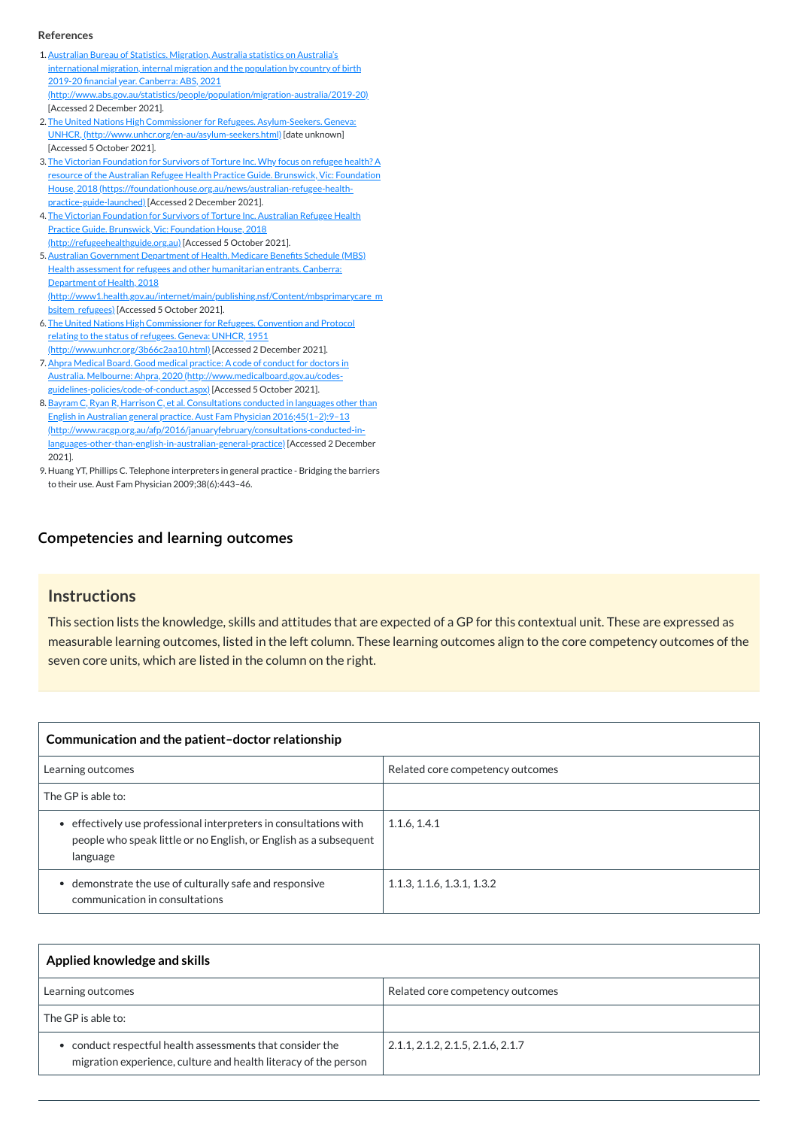# **[Competencies and learning outcomes](javascript:void(0))**

#### **Instructions**

This section lists the knowledge, skills and attitudes that are expected of a GP for this contextual unit. These are expressed as measurable learning outcomes, listed in the left column. These learning outcomes align to the core competency outcomes of the seven core units, which are listed in the column on the right.

| Communication and the patient-doctor relationship                                                                                                 |                                  |
|---------------------------------------------------------------------------------------------------------------------------------------------------|----------------------------------|
| Learning outcomes                                                                                                                                 | Related core competency outcomes |
| The GP is able to:                                                                                                                                |                                  |
| effectively use professional interpreters in consultations with<br>$\bullet$<br>people who speak little or no English, or English as a subsequent | 1.1.6, 1.4.1                     |

| language                                                                                |                                    |
|-----------------------------------------------------------------------------------------|------------------------------------|
| demonstrate the use of culturally safe and responsive<br>communication in consultations | $\vert$ 1.1.3, 1.1.6, 1.3.1, 1.3.2 |

| Applied knowledge and skills                                                                                               |                                   |
|----------------------------------------------------------------------------------------------------------------------------|-----------------------------------|
| Learning outcomes                                                                                                          | Related core competency outcomes  |
| The GP is able to:                                                                                                         |                                   |
| conduct respectful health assessments that consider the<br>migration experience, culture and health literacy of the person | 2.1.1, 2.1.2, 2.1.5, 2.1.6, 2.1.7 |

#### **References**

- <span id="page-1-0"></span>1. Australian Bureau of Statistics. Migration, Australia statistics on Australia's international migration, internal migration and the population by country of birth 2019-20 financial year. Canberra: ABS, 2021 [\(http://www.abs.gov.au/statistics/people/population/migration-australia/2019-20\)](http://www.abs.gov.au/statistics/people/population/migration-australia/2019-20) [Accessed 2 December 2021].
- <span id="page-1-1"></span>2. The United Nations High Commissioner for Refugees. Asylum-Seekers. Geneva: UNHCR, [\(http://www.unhcr.org/en-au/asylum-seekers.html\)](http://www.unhcr.org/en-au/asylum-seekers.html) [date unknown] [Accessed 5 October 2021].
- <span id="page-1-2"></span>3. The Victorian Foundation for Survivors of Torture Inc. Why focus on refugee health? A resource of the Australian Refugee Health Practice Guide. Brunswick, Vic: Foundation House, 2018 [\(https://foundationhouse.org.au/news/australian-refugee-health](https://foundationhouse.org.au/news/australian-refugee-health-practice-guide-launched)practice-guide-launched) [Accessed 2 December 2021].
- <span id="page-1-3"></span>4. The Victorian Foundation for Survivors of Torture Inc. Australian Refugee Health Practice Guide. Brunswick, Vic: Foundation House, 2018 [\(http://refugeehealthguide.org.au\)](http://refugeehealthguide.org.au/) [Accessed 5 October 2021].
- <span id="page-1-4"></span>5. Australian Government Department of Health. Medicare Benefits Schedule (MBS) Health assessment for refugees and other humanitarian entrants. Canberra: Department of Health, 2018 [\(http://www1.health.gov.au/internet/main/publishing.nsf/Content/mbsprimarycare\\_m](http://www1.health.gov.au/internet/main/publishing.nsf/Content/mbsprimarycare_mbsitem_refugees) bsitem\_refugees) [Accessed 5 October 2021].
- <span id="page-1-5"></span>6. The United Nations High Commissioner for Refugees. Convention and Protocol relating to the status of refugees. Geneva: UNHCR, 1951 [\(http://www.unhcr.org/3b66c2aa10.html\)](http://www.unhcr.org/3b66c2aa10.html) [Accessed 2 December 2021].
- <span id="page-1-6"></span>7.Ahpra Medical Board. Good medical practice: A code of conduct for doctors in Australia. Melbourne: Ahpra, 2020 (http://www.medicalboard.gov.au/codes[guidelines-policies/code-of-conduct.aspx\)](http://www.medicalboard.gov.au/codes-guidelines-policies/code-of-conduct.aspx) [Accessed 5 October 2021].
- 8. Bayram C, Ryan R, Harrison C, et al. Consultations conducted in languages other than English in Australian general practice. Aust Fam Physician 2016;45(1–2):9–13 [\(http://www.racgp.org.au/afp/2016/januaryfebruary/consultations-conducted-in](http://www.racgp.org.au/afp/2016/januaryfebruary/consultations-conducted-in-languages-other-than-english-in-australian-general-practice)languages-other-than-english-in-australian-general-practice) [Accessed 2 December 2021].
- <span id="page-1-7"></span>9. Huang YT, Phillips C. Telephone interpreters in general practice - Bridging the barriers to their use. Aust Fam Physician 2009;38(6):443–46.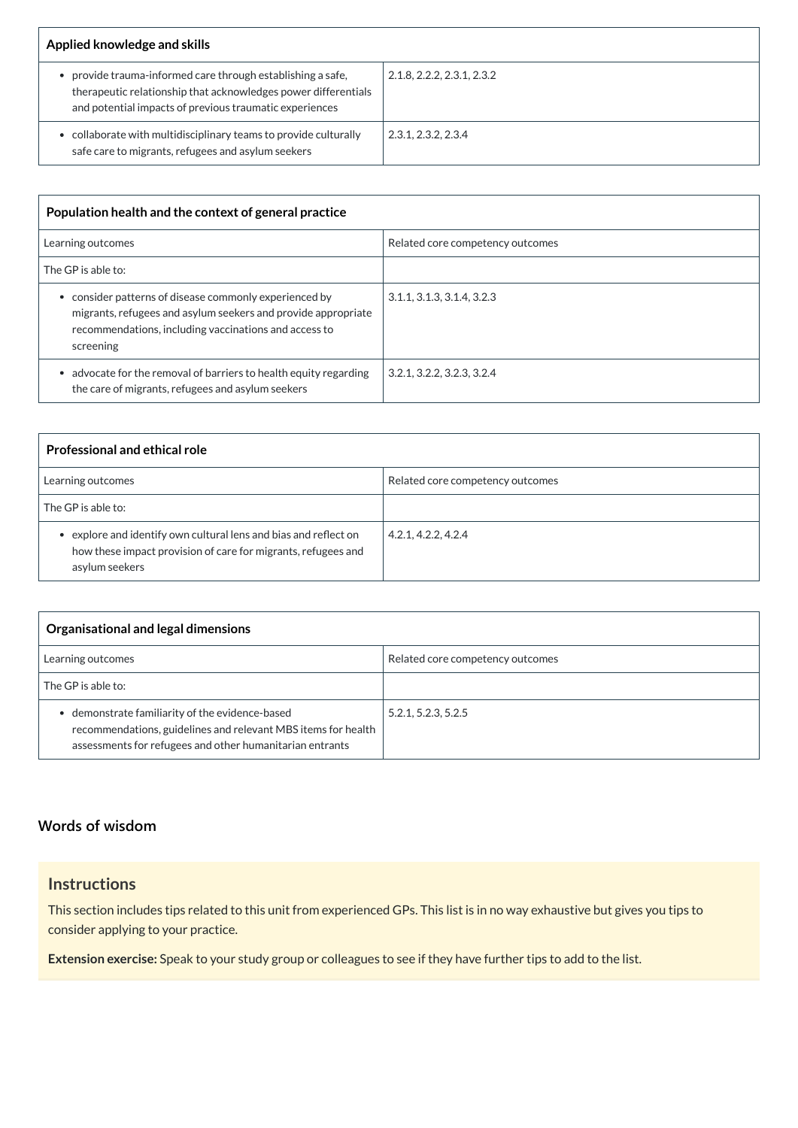| Applied knowledge and skills                                                                                                                                                           |                            |
|----------------------------------------------------------------------------------------------------------------------------------------------------------------------------------------|----------------------------|
| provide trauma-informed care through establishing a safe,<br>therapeutic relationship that acknowledges power differentials<br>and potential impacts of previous traumatic experiences | 2.1.8, 2.2.2, 2.3.1, 2.3.2 |
| collaborate with multidisciplinary teams to provide culturally<br>safe care to migrants, refugees and asylum seekers                                                                   | 2.3.1, 2.3.2, 2.3.4        |

| Population health and the context of general practice                                                                                                                                       |                                  |
|---------------------------------------------------------------------------------------------------------------------------------------------------------------------------------------------|----------------------------------|
| Learning outcomes                                                                                                                                                                           | Related core competency outcomes |
| The GP is able to:                                                                                                                                                                          |                                  |
| consider patterns of disease commonly experienced by<br>migrants, refugees and asylum seekers and provide appropriate<br>recommendations, including vaccinations and access to<br>screening | 3.1.1, 3.1.3, 3.1.4, 3.2.3       |
| advocate for the removal of barriers to health equity regarding<br>the care of migrants, refugees and asylum seekers                                                                        | 3.2.1, 3.2.2, 3.2.3, 3.2.4       |

| <b>Professional and ethical role</b>                                                                                                                |                                  |
|-----------------------------------------------------------------------------------------------------------------------------------------------------|----------------------------------|
| Learning outcomes                                                                                                                                   | Related core competency outcomes |
| The GP is able to:                                                                                                                                  |                                  |
| • explore and identify own cultural lens and bias and reflect on<br>how these impact provision of care for migrants, refugees and<br>asylum seekers | 4.2.1, 4.2.2, 4.2.4              |

| Organisational and legal dimensions                                                                                                                                          |                                  |
|------------------------------------------------------------------------------------------------------------------------------------------------------------------------------|----------------------------------|
| Learning outcomes                                                                                                                                                            | Related core competency outcomes |
| The GP is able to:                                                                                                                                                           |                                  |
| • demonstrate familiarity of the evidence-based<br>recommendations, guidelines and relevant MBS items for health<br>assessments for refugees and other humanitarian entrants | 5.2.1, 5.2.3, 5.2.5              |

# **Instructions**

This section includes tips related to this unit from experienced GPs. This list is in no way exhaustive but gives you tips to consider applying to your practice.

**Extension exercise:** Speak to your study group or colleagues to see if they have further tips to add to the list.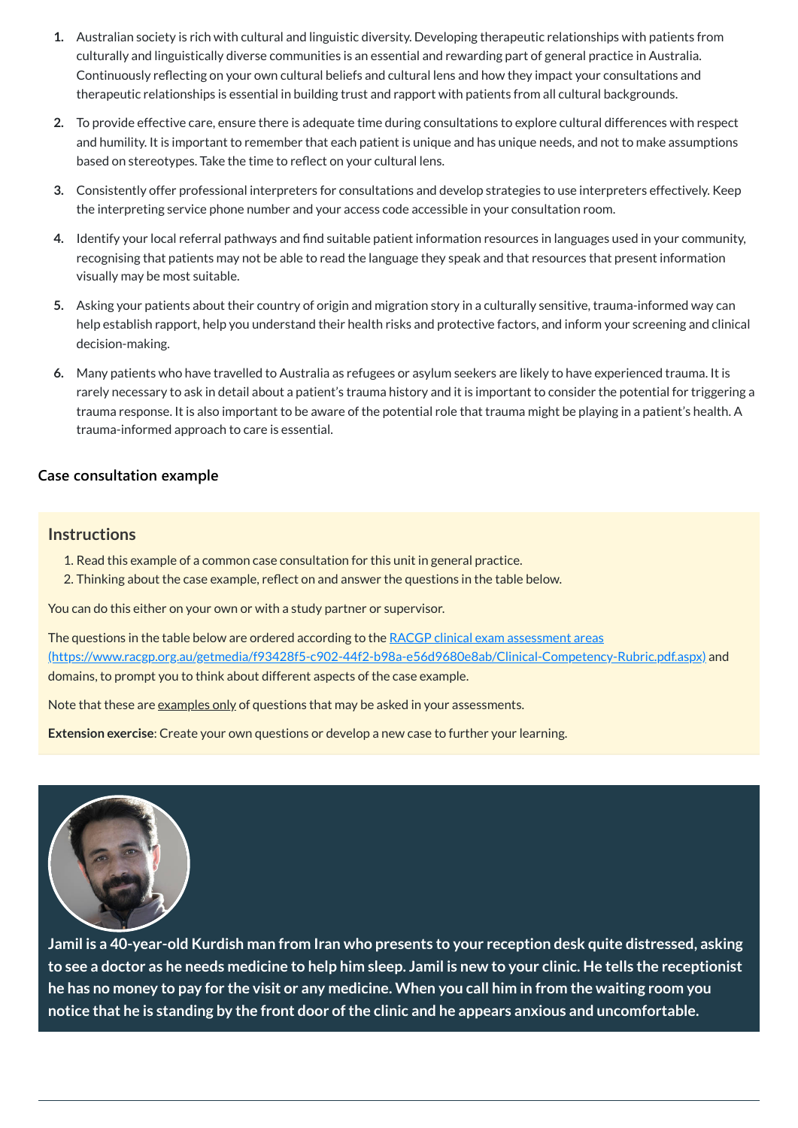- **1.** Australian society is rich with cultural and linguistic diversity. Developing therapeutic relationships with patients from culturally and linguistically diverse communities is an essential and rewarding part of general practice in Australia. Continuously reflecting on your own cultural beliefs and cultural lens and how they impact your consultations and therapeutic relationships is essential in building trust and rapport with patients from all cultural backgrounds.
- **2.** To provide effective care, ensure there is adequate time during consultations to explore cultural differences with respect and humility. It is important to remember that each patient is unique and has unique needs, and not to make assumptions based on stereotypes. Take the time to reflect on your cultural lens.
- **3.** Consistently offer professional interpreters for consultations and develop strategies to use interpreters effectively. Keep the interpreting service phone number and your access code accessible in your consultation room.
- **4.** Identify your local referral pathways and find suitable patient information resources in languages used in your community, recognising that patients may not be able to read the language they speak and that resources that present information visually may be most suitable.
- **5.** Asking your patients about their country of origin and migration story in a culturally sensitive, trauma-informed way can help establish rapport, help you understand their health risks and protective factors, and inform your screening and clinical decision-making.
- **6.** Many patients who have travelled to Australia as refugees or asylum seekers are likely to have experienced trauma. It is rarely necessary to ask in detail about a patient's trauma history and it is important to consider the potential for triggering a trauma response. It is also important to be aware of the potential role that trauma might be playing in a patient's health. A trauma-informed approach to care is essential.

The questions in the table below are ordered according to the RACGP clinical exam assessment areas [\(https://www.racgp.org.au/getmedia/f93428f5-c902-44f2-b98a-e56d9680e8ab/Clinical-Competency-Rubric.pdf.aspx\)](https://www.racgp.org.au/getmedia/f93428f5-c902-44f2-b98a-e56d9680e8ab/Clinical-Competency-Rubric.pdf.aspx) and domains, to prompt you to think about different aspects of the case example.

Note that these are examples only of questions that may be asked in your assessments.

# **[Case consultation example](javascript:void(0))**

### **Instructions**

- 1. Read this example of a common case consultation for this unit in general practice.
- 2. Thinking about the case example, reflect on and answer the questions in the table below.

You can do this either on your own or with a study partner or supervisor.

**Extension exercise**: Create your own questions or develop a new case to further your learning.



**Jamil is a 40-year-old Kurdish man from Iran who presents to your reception desk quite distressed, asking** to see a doctor as he needs medicine to help him sleep. Jamil is new to your clinic. He tells the receptionist he has no money to pay for the visit or any medicine. When you call him in from the waiting room you **notice that he is standing by the front door ofthe clinic and he appears anxious and uncomfortable.**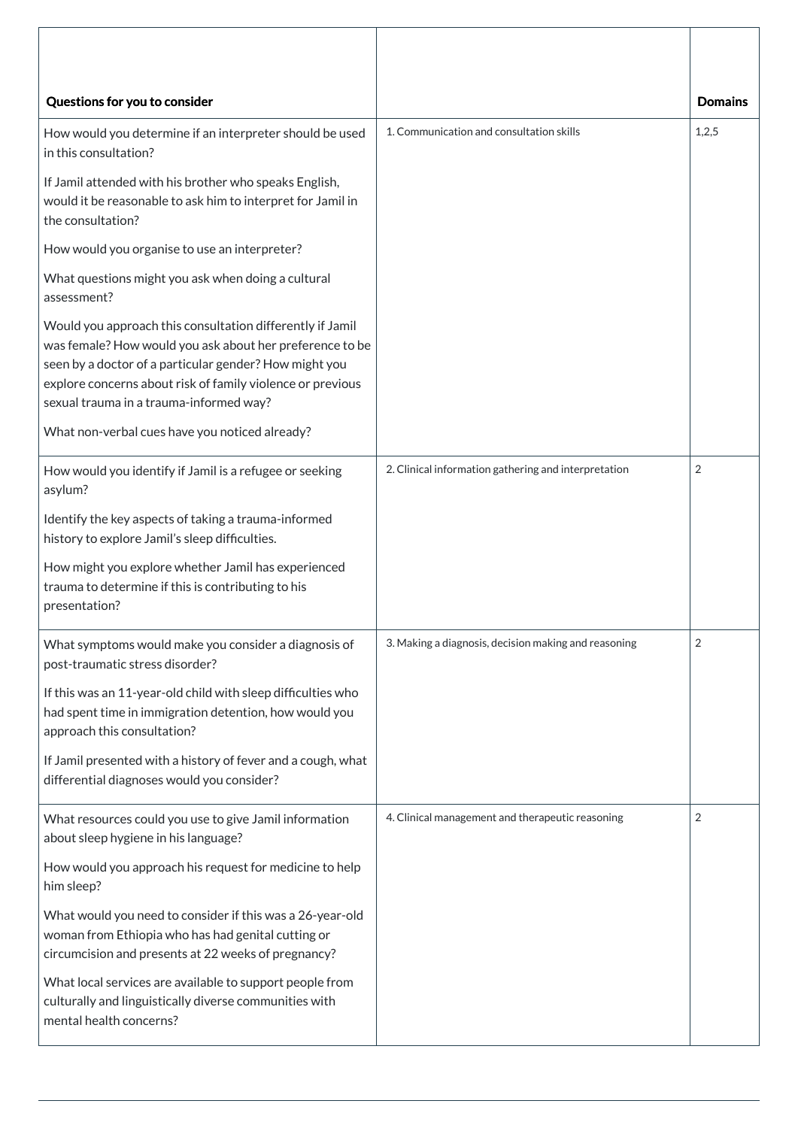| Questions for you to consider                                                                                                                                                                                                                                                            |                                                      | <b>Domains</b> |
|------------------------------------------------------------------------------------------------------------------------------------------------------------------------------------------------------------------------------------------------------------------------------------------|------------------------------------------------------|----------------|
| How would you determine if an interpreter should be used<br>in this consultation?                                                                                                                                                                                                        | 1. Communication and consultation skills             | 1,2,5          |
| If Jamil attended with his brother who speaks English,<br>would it be reasonable to ask him to interpret for Jamil in<br>the consultation?                                                                                                                                               |                                                      |                |
| How would you organise to use an interpreter?                                                                                                                                                                                                                                            |                                                      |                |
| What questions might you ask when doing a cultural<br>assessment?                                                                                                                                                                                                                        |                                                      |                |
| Would you approach this consultation differently if Jamil<br>was female? How would you ask about her preference to be<br>seen by a doctor of a particular gender? How might you<br>explore concerns about risk of family violence or previous<br>sexual trauma in a trauma-informed way? |                                                      |                |
| What non-verbal cues have you noticed already?                                                                                                                                                                                                                                           |                                                      |                |
| How would you identify if Jamil is a refugee or seeking<br>asylum?                                                                                                                                                                                                                       | 2. Clinical information gathering and interpretation | $\overline{2}$ |
| Identify the key aspects of taking a trauma-informed<br>history to explore Jamil's sleep difficulties.                                                                                                                                                                                   |                                                      |                |
| How might you explore whether Jamil has experienced<br>trauma to determine if this is contributing to his<br>presentation?                                                                                                                                                               |                                                      |                |
| What symptoms would make you consider a diagnosis of<br>post-traumatic stress disorder?                                                                                                                                                                                                  | 3. Making a diagnosis, decision making and reasoning | $\overline{2}$ |
| If this was an 11-year-old child with sleep difficulties who<br>had spent time in immigration detention, how would you<br>approach this consultation?                                                                                                                                    |                                                      |                |
| If Jamil presented with a history of fever and a cough, what<br>differential diagnoses would you consider?                                                                                                                                                                               |                                                      |                |
| What resources could you use to give Jamil information<br>about sleep hygiene in his language?                                                                                                                                                                                           | 4. Clinical management and therapeutic reasoning     | 2              |

How would you approach his request for medicine to help him sleep?

What would you need to consider if this was a 26-year-old woman from Ethiopia who has had genital cutting or circumcision and presents at 22 weeks of pregnancy? What local services are available to support people from culturally and linguistically diverse communities with mental health concerns?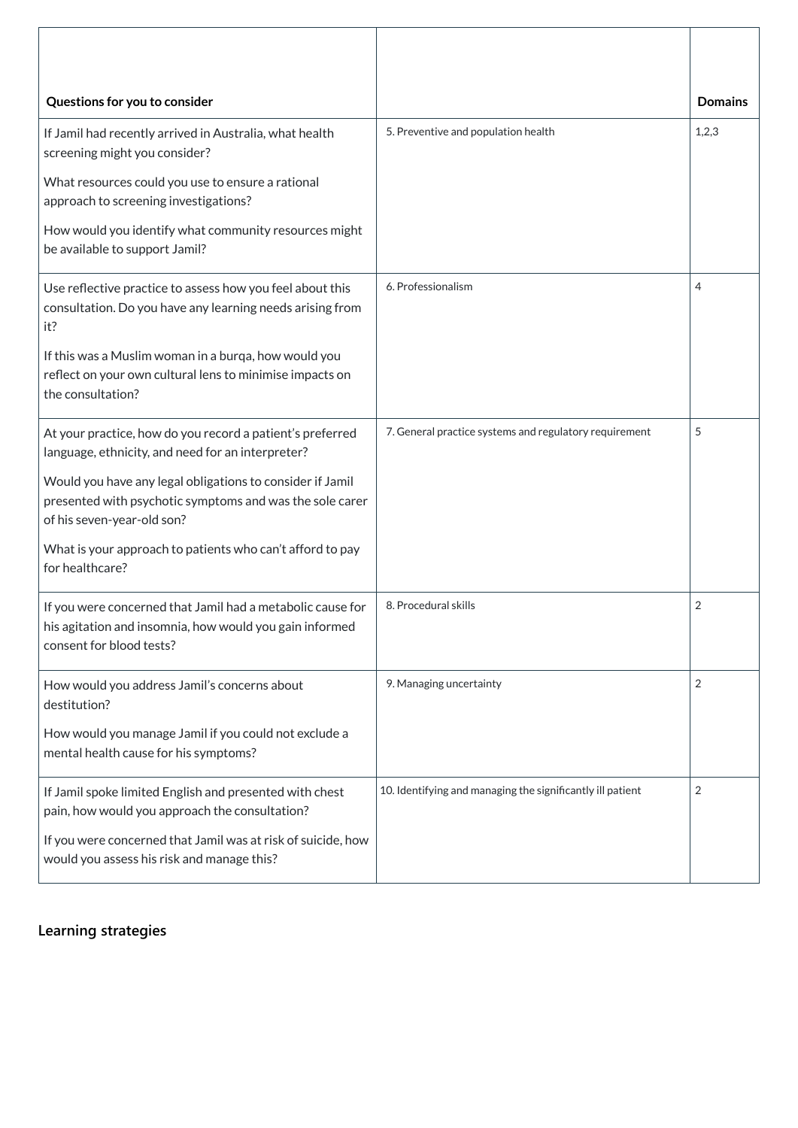| Questions for you to consider                                                                                                                       |                                                            | <b>Domains</b> |
|-----------------------------------------------------------------------------------------------------------------------------------------------------|------------------------------------------------------------|----------------|
| If Jamil had recently arrived in Australia, what health<br>screening might you consider?                                                            | 5. Preventive and population health                        | 1,2,3          |
| What resources could you use to ensure a rational<br>approach to screening investigations?                                                          |                                                            |                |
| How would you identify what community resources might<br>be available to support Jamil?                                                             |                                                            |                |
| Use reflective practice to assess how you feel about this<br>consultation. Do you have any learning needs arising from<br>it?                       | 6. Professionalism                                         | 4              |
| If this was a Muslim woman in a burga, how would you<br>reflect on your own cultural lens to minimise impacts on<br>the consultation?               |                                                            |                |
| At your practice, how do you record a patient's preferred<br>language, ethnicity, and need for an interpreter?                                      | 7. General practice systems and regulatory requirement     | 5              |
| Would you have any legal obligations to consider if Jamil<br>presented with psychotic symptoms and was the sole carer<br>of his seven-year-old son? |                                                            |                |
| What is your approach to patients who can't afford to pay<br>for healthcare?                                                                        |                                                            |                |
| If you were concerned that Jamil had a metabolic cause for<br>his agitation and insomnia, how would you gain informed<br>consent for blood tests?   | 8. Procedural skills                                       | $\overline{2}$ |
| How would you address Jamil's concerns about<br>destitution?                                                                                        | 9. Managing uncertainty                                    | $\overline{2}$ |
| How would you manage Jamil if you could not exclude a<br>mental health cause for his symptoms?                                                      |                                                            |                |
| If Jamil spoke limited English and presented with chest<br>pain, how would you approach the consultation?                                           | 10. Identifying and managing the significantly ill patient | 2              |
| If you were concerned that Jamil was at risk of suicide, how                                                                                        |                                                            |                |

**[Learning strategies](javascript:void(0))**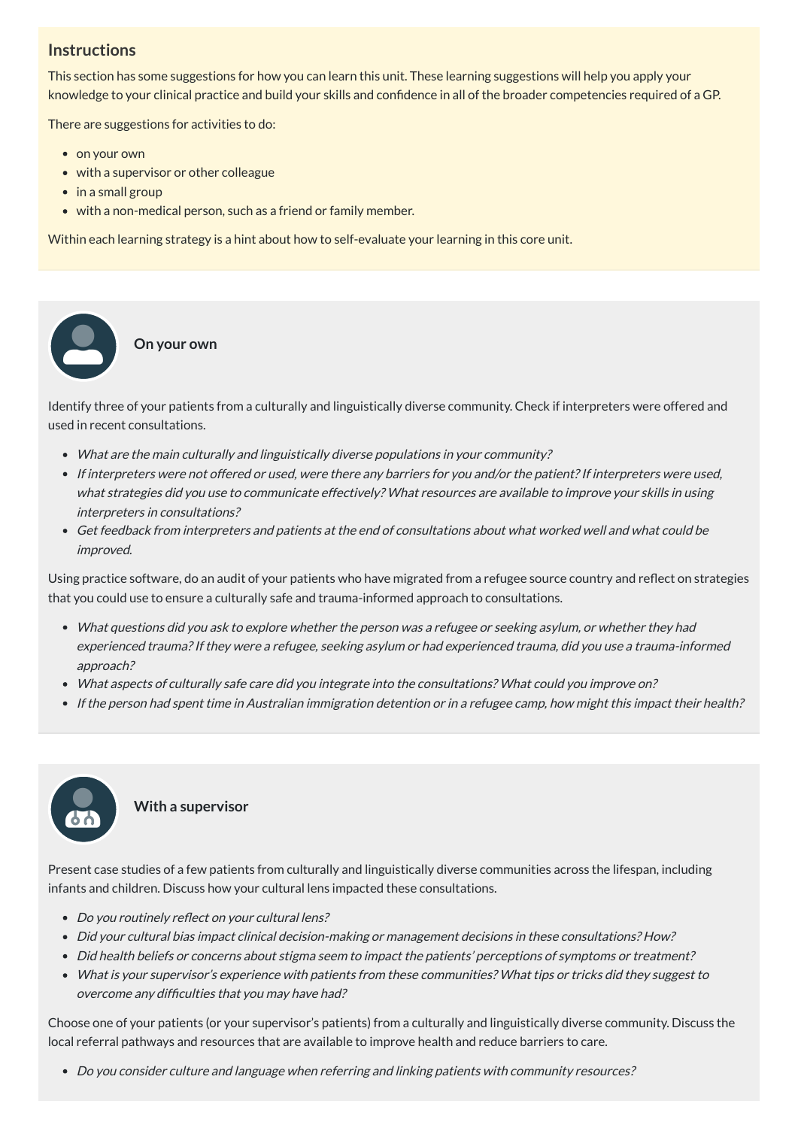# **Instructions**

This section has some suggestions for how you can learn this unit. These learning suggestions will help you apply your knowledge to your clinical practice and build your skills and confidence in all of the broader competencies required of a GP.

There are suggestions for activities to do:

• on your own

 $\bullet$ 

- with a supervisor or other colleague
- in a small group
- with a non-medical person, such as a friend or family member.

Within each learning strategy is a hint about how to self-evaluate your learning in this core unit.

**On your own**

Identify three of your patients from a culturally and linguistically diverse community. Check if interpreters were offered and used in recent consultations.

- What are the main culturally and linguistically diverse populations in your community?
- If interpreters were not offered or used, were there any barriers for you and/or the patient? If interpreters were used, what strategies did you use to communicate effectively? What resources are available to improve your skills in using interpreters in consultations?
- Get feedback from interpreters and patients at the end of consultations about what worked well and what could be improved.

- Do you routinely reflect on your cultural lens?
- Did your cultural bias impact clinical decision-making or management decisions in these consultations? How?
- Did health beliefs or concerns about stigma seem to impact the patients' perceptions of symptoms or treatment?
- What is your supervisor's experience with patients from these communities? What tips or tricks did they suggest to overcome any difficulties that you may have had?

Using practice software, do an audit of your patients who have migrated from a refugee source country and reflect on strategies that you could use to ensure a culturally safe and trauma-informed approach to consultations.

- What questions did you ask to explore whether the person was <sup>a</sup> refugee or seeking asylum, or whether they had experienced trauma?If they were <sup>a</sup> refugee, seeking asylum or had experienced trauma, did you use <sup>a</sup> trauma-informed approach?
- What aspects of culturally safe care did you integrate into the consultations? What could you improve on?
- If the person had spent time in Australian immigration detention or in <sup>a</sup> refugee camp, how might this impact their health?



Present case studies of a few patients from culturally and linguistically diverse communities across the lifespan, including infants and children. Discuss how your cultural lens impacted these consultations.

Choose one of your patients (or your supervisor's patients) from a culturally and linguistically diverse community. Discuss the local referral pathways and resources that are available to improve health and reduce barriers to care.

Do you consider culture and language when referring and linking patients with community resources?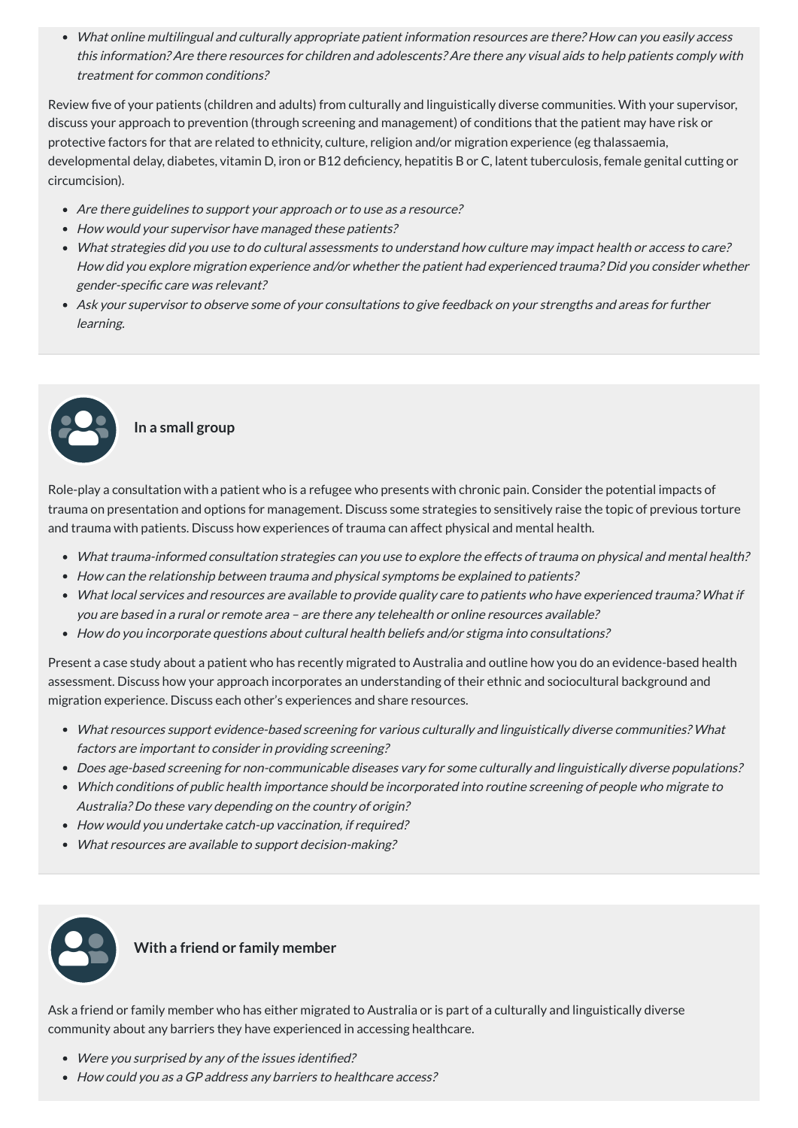What online multilingual and culturally appropriate patient information resources are there? How can you easily access this information? Are there resources for children and adolescents? Are there any visual aids to help patients comply with treatment for common conditions?

Review five of your patients (children and adults) from culturally and linguistically diverse communities. With your supervisor, discuss your approach to prevention (through screening and management) of conditions that the patient may have risk or protective factors for that are related to ethnicity, culture, religion and/or migration experience (eg thalassaemia, developmental delay, diabetes, vitamin D, iron or B12 deficiency, hepatitis B or C, latent tuberculosis, female genital cutting or circumcision).

- Are there guidelines to support your approach or to use as a resource?
- How would your supervisor have managed these patients?
- What strategies did you use to do cultural assessments to understand how culture may impact health or access to care? How did you explore migration experience and/or whether the patient had experienced trauma? Did you consider whether gender-specific care was relevant?
- Ask your supervisor to observe some of your consultations to give feedback on your strengths and areas for further learning.

# **In a small group**

Role-play a consultation with a patient who is a refugee who presents with chronic pain. Consider the potential impacts of trauma on presentation and options for management. Discuss some strategies to sensitively raise the topic of previous torture and trauma with patients. Discuss how experiences of trauma can affect physical and mental health.

- What trauma-informed consultation strategies can you use to explore the effects of trauma on physical and mental health?
- How can the relationship between trauma and physical symptoms be explained to patients?
- What local services and resources are available to provide quality care to patients who have experienced trauma? What if you are based in <sup>a</sup> rural or remote area – are there any telehealth or online resources available?
- How do you incorporate questions about cultural health beliefs and/or stigma into consultations?

Present a case study about a patient who has recently migrated to Australia and outline how you do an evidence-based health assessment. Discuss how your approach incorporates an understanding of their ethnic and sociocultural background and migration experience. Discuss each other's experiences and share resources.

- What resources support evidence-based screening for various culturally and linguistically diverse communities? What factors are important to consider in providing screening?
- Does age-based screening for non-communicable diseases vary for some culturally and linguistically diverse populations?
- Which conditions of public health importance should be incorporated into routine screening of people who migrate to Australia? Do these vary depending on the country of origin?
- How would you undertake catch-up vaccination, if required?
- What resources are available to support decision-making?



Ask a friend or family member who has either migrated to Australia or is part of a culturally and linguistically diverse community about any barriers they have experienced in accessing healthcare.

- Were you surprised by any of the issues identified?
- How could you as a GP address any barriers to healthcare access?

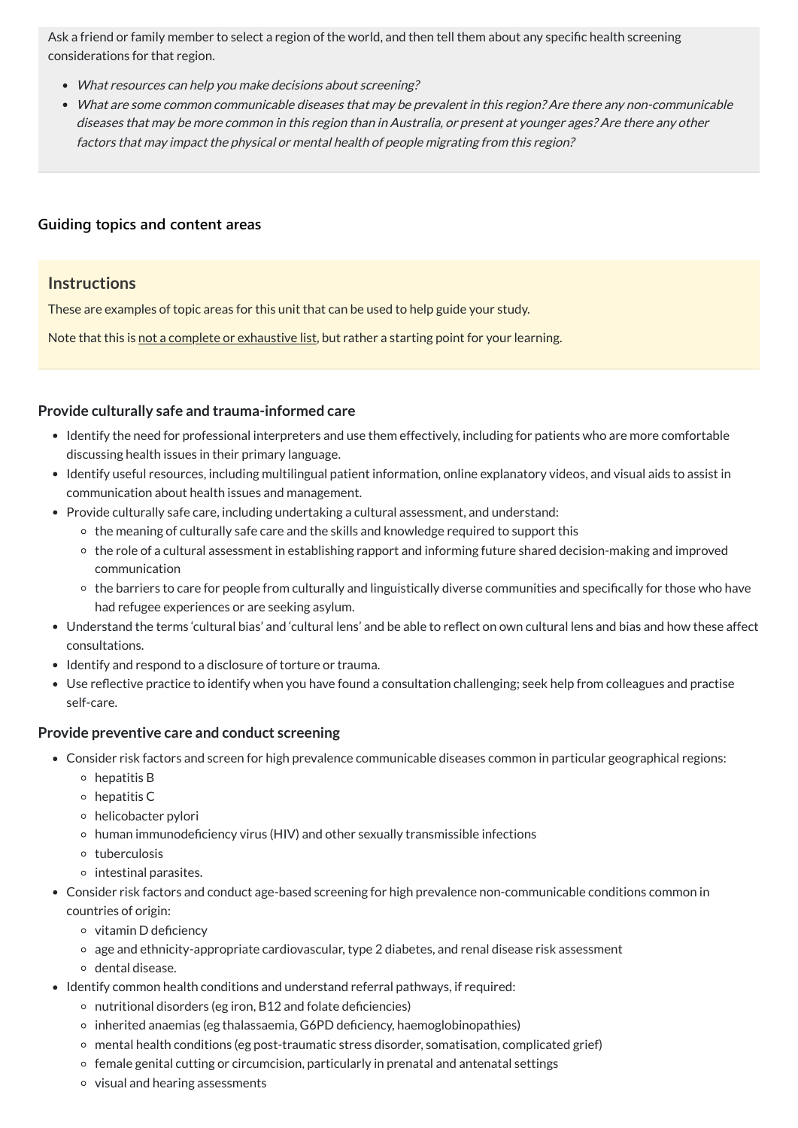Ask a friend or family member to select a region of the world, and then tell them about any specific health screening considerations for that region.

- What resources can help you make decisions about screening?
- What are some common communicable diseases that may be prevalent in this region? Are there any non-communicable diseases that may be more common in this region than in Australia, or present at younger ages? Are there any other factors that may impact the physical or mental health of people migrating from this region?

# **[Guiding topics and content areas](javascript:void(0))**

# **Instructions**

These are examples of topic areas for this unit that can be used to help guide your study.

Note that this is not a complete or exhaustive list, but rather a starting point for your learning.

# **Provide culturally safe and trauma-informed care**

- Identify the need for professional interpreters and use them effectively, including for patients who are more comfortable discussing health issues in their primary language.
- Identify useful resources, including multilingual patient information, online explanatory videos, and visual aids to assist in communication about health issues and management.
- Provide culturally safe care, including undertaking a cultural assessment, and understand:
	- o the meaning of culturally safe care and the skills and knowledge required to support this
	- the role of a cultural assessment in establishing rapport and informing future shared decision-making and improved communication
	- the barriers to care for people from culturally and linguistically diverse communities and specifically for those who have had refugee experiences or are seeking asylum.
- Understand the terms 'cultural bias' and 'cultural lens' and be able to reflect on own cultural lens and bias and how these affect consultations.
- Identify and respond to a disclosure of torture or trauma.
- Use reflective practice to identify when you have found a consultation challenging; seek help from colleagues and practise self-care.

- Consider risk factors and screen for high prevalence communicable diseases common in particular geographical regions:
	- $\circ$  hepatitis B
	- $\circ$  hepatitis C
	- helicobacter pylori
	- human immunodeficiency virus (HIV) and other sexually transmissible infections
	-
	- tuberculosis
	- $\circ$  intestinal parasites.
- Consider risk factors and conduct age-based screening for high prevalence non-communicable conditions common in countries of origin:
	- $\circ$  vitamin D deficiency
	- age and ethnicity-appropriate cardiovascular, type 2 diabetes, and renal disease risk assessment
	- o dental disease.
- Identify common health conditions and understand referral pathways, if required:
	- $\circ$  nutritional disorders (eg iron, B12 and folate deficiencies)
	- $\circ$  inherited anaemias (eg thalassaemia, G6PD deficiency, haemoglobinopathies)
	- mental health conditions (eg post-traumatic stress disorder, somatisation, complicated grief)
	- $\circ$  female genital cutting or circumcision, particularly in prenatal and antenatal settings
	- $\circ$  visual and hearing assessments

#### **Provide preventive care and conduct screening**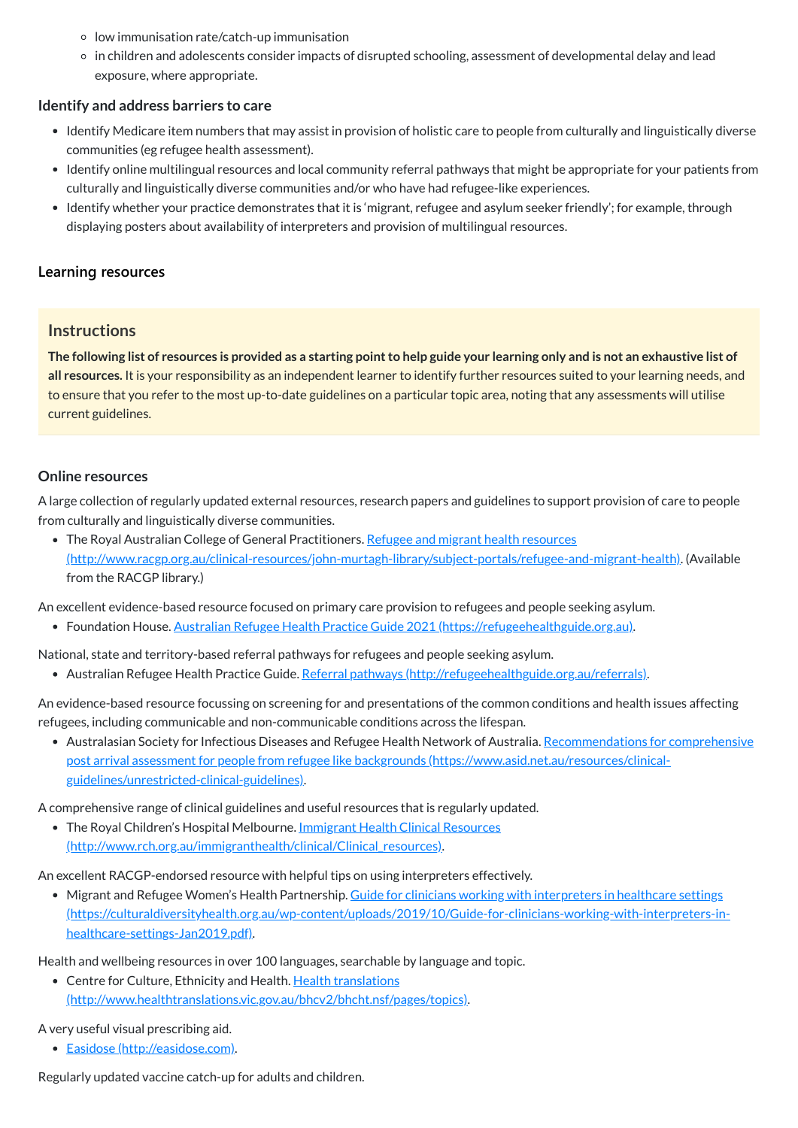- $\circ$  low immunisation rate/catch-up immunisation
- in children and adolescents consider impacts of disrupted schooling, assessment of developmental delay and lead exposure, where appropriate.

#### **Identify and address barriers to care**

- Identify Medicare item numbers that may assist in provision of holistic care to people from culturally and linguistically diverse communities (eg refugee health assessment).
- Identify online multilingual resources and local community referral pathways that might be appropriate for your patients from culturally and linguistically diverse communities and/or who have had refugee-like experiences.
- Identify whether your practice demonstrates that it is 'migrant, refugee and asylum seeker friendly'; for example, through displaying posters about availability of interpreters and provision of multilingual resources.

The following list of resources is provided as a starting point to help guide your learning only and is not an exhaustive list of **all resources.** It is your responsibility as an independent learner to identify further resources suited to your learning needs, and to ensure that you refer to the most up-to-date guidelines on a particular topic area, noting that any assessments will utilise current guidelines.

# **[Learning resources](javascript:void(0))**

• The Royal Australian College of General Practitioners. Refugee and migrant health resources [\(http://www.racgp.org.au/clinical-resources/john-murtagh-library/subject-portals/refugee-and-migrant-health\)](http://www.racgp.org.au/clinical-resources/john-murtagh-library/subject-portals/refugee-and-migrant-health). (Available from the RACGP library.)

# **Instructions**

# **Online resources**

• Australasian Society for Infectious Diseases and Refugee Health Network of Australia. Recommendations for comprehensive post arrival assessment for people from refugee like backgrounds [\(https://www.asid.net.au/resources/clinical](https://www.asid.net.au/resources/clinical-guidelines/unrestricted-clinical-guidelines)guidelines/unrestricted-clinical-guidelines).

A large collection of regularly updated external resources, research papers and guidelines to support provision of care to people from culturally and linguistically diverse communities.

• The Royal Children's Hospital Melbourne. Immigrant Health Clinical Resources [\(http://www.rch.org.au/immigranthealth/clinical/Clinical\\_resources\).](http://www.rch.org.au/immigranthealth/clinical/Clinical_resources)

• Migrant and Refugee Women's Health Partnership. Guide for clinicians working with interpreters in healthcare settings [\(https://culturaldiversityhealth.org.au/wp-content/uploads/2019/10/Guide-for-clinicians-working-with-interpreters-in](https://culturaldiversityhealth.org.au/wp-content/uploads/2019/10/Guide-for-clinicians-working-with-interpreters-in-healthcare-settings-Jan2019.pdf)healthcare-settings-Jan2019.pdf).

An excellent evidence-based resource focused on primary care provision to refugees and people seeking asylum.

Foundation House. Australian Refugee Health Practice Guide 2021 [\(https://refugeehealthguide.org.au\).](https://refugeehealthguide.org.au/)

National, state and territory-based referral pathways for refugees and people seeking asylum.

Australian Refugee Health Practice Guide. Referral pathways [\(http://refugeehealthguide.org.au/referrals\)](http://refugeehealthguide.org.au/referrals).

An evidence-based resource focussing on screening for and presentations of the common conditions and health issues affecting refugees, including communicable and non-communicable conditions across the lifespan.

A comprehensive range of clinical guidelines and useful resources that is regularly updated.

An excellent RACGP-endorsed resource with helpful tips on using interpreters effectively.

Health and wellbeing resources in over 100 languages, searchable by language and topic.

• Centre for Culture, Ethnicity and Health. Health translations

[\(http://www.healthtranslations.vic.gov.au/bhcv2/bhcht.nsf/pages/topics\)](http://www.healthtranslations.vic.gov.au/bhcv2/bhcht.nsf/pages/topics).

A very useful visual prescribing aid.

Easidose [\(http://easidose.com\)](http://easidose.com/).

Regularly updated vaccine catch-up for adults and children.